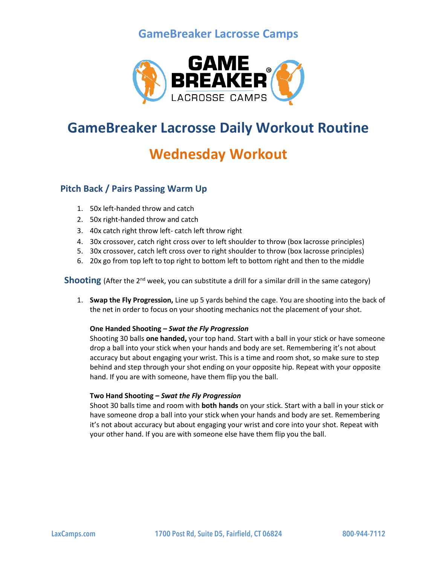## **GameBreaker Lacrosse Camps**



## **GameBreaker Lacrosse Daily Workout Routine**

# **Wednesday Workout**

### **Pitch Back / Pairs Passing Warm Up**

- 1. 50x left-handed throw and catch
- 2. 50x right-handed throw and catch
- 3. 40x catch right throw left- catch left throw right
- 4. 30x crossover, catch right cross over to left shoulder to throw (box lacrosse principles)
- 5. 30x crossover, catch left cross over to right shoulder to throw (box lacrosse principles)
- 6. 20x go from top left to top right to bottom left to bottom right and then to the middle

**Shooting** (After the 2<sup>nd</sup> week, you can substitute a drill for a similar drill in the same category)

1. **Swap the Fly Progression,** Line up 5 yards behind the cage. You are shooting into the back of the net in order to focus on your shooting mechanics not the placement of your shot.

#### **One Handed Shooting –** *Swat the Fly Progression*

Shooting 30 balls **one handed,** your top hand. Start with a ball in your stick or have someone drop a ball into your stick when your hands and body are set. Remembering it's not about accuracy but about engaging your wrist. This is a time and room shot, so make sure to step behind and step through your shot ending on your opposite hip. Repeat with your opposite hand. If you are with someone, have them flip you the ball.

#### **Two Hand Shooting –** *Swat the Fly Progression*

Shoot 30 balls time and room with **both hands** on your stick. Start with a ball in your stick or have someone drop a ball into your stick when your hands and body are set. Remembering it's not about accuracy but about engaging your wrist and core into your shot. Repeat with your other hand. If you are with someone else have them flip you the ball.